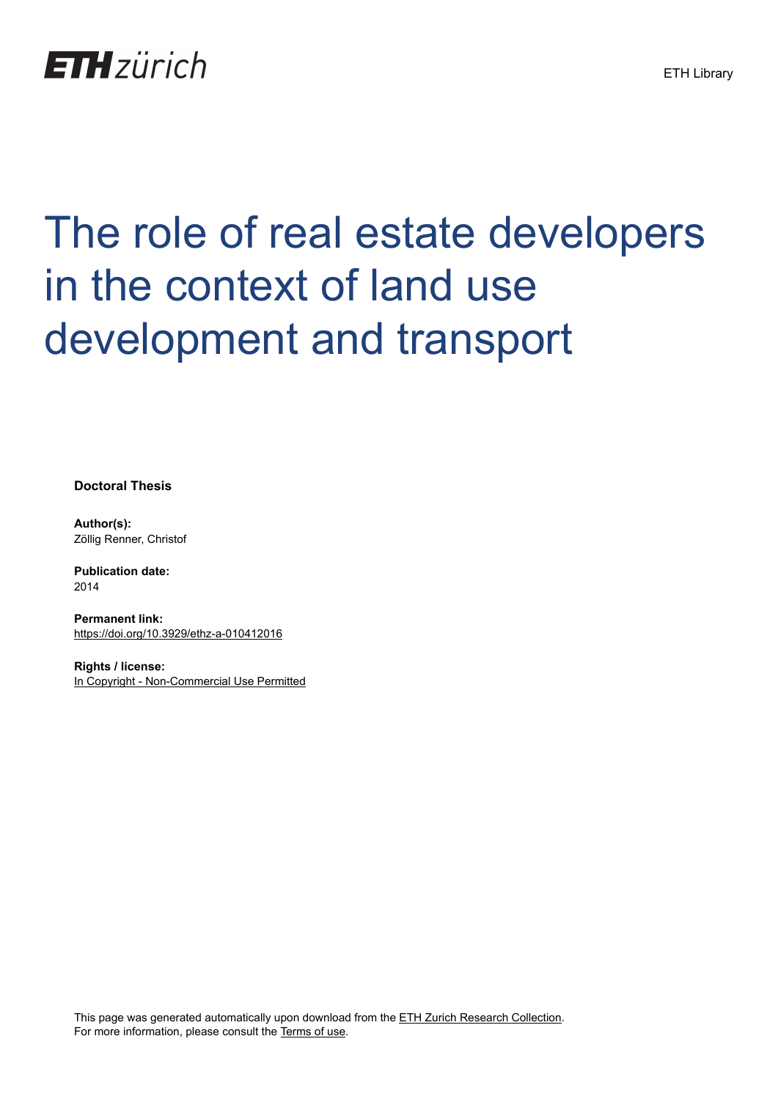

# The role of real estate developers in the context of land use development and transport

**Doctoral Thesis**

**Author(s):** Zöllig Renner, Christof

**Publication date:** 2014

**Permanent link:** <https://doi.org/10.3929/ethz-a-010412016>

**Rights / license:** [In Copyright - Non-Commercial Use Permitted](http://rightsstatements.org/page/InC-NC/1.0/)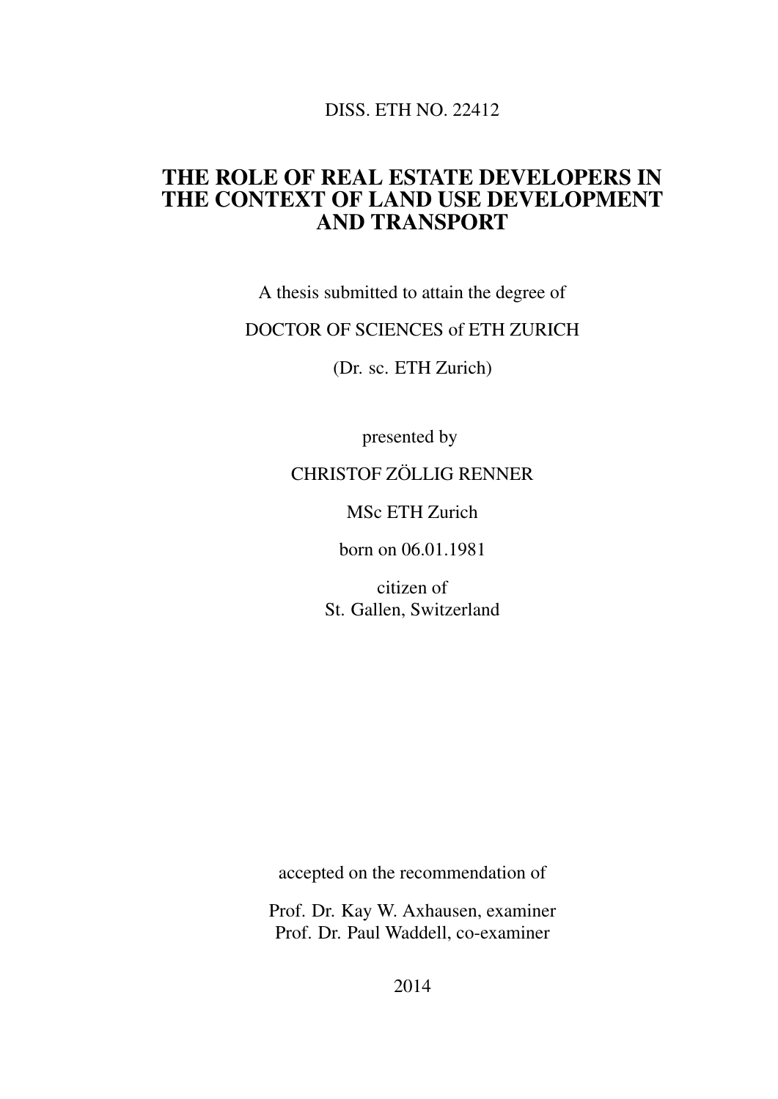DISS. ETH NO. 22412

#### THE ROLE OF REAL ESTATE DEVELOPERS IN THE CONTEXT OF LAND USE DEVELOPMENT AND TRANSPORT

A thesis submitted to attain the degree of

#### DOCTOR OF SCIENCES of ETH ZURICH

(Dr. sc. ETH Zurich)

presented by

#### CHRISTOF ZÖLLIG RENNER

MSc ETH Zurich

born on 06.01.1981

citizen of St. Gallen, Switzerland

accepted on the recommendation of

Prof. Dr. Kay W. Axhausen, examiner Prof. Dr. Paul Waddell, co-examiner

2014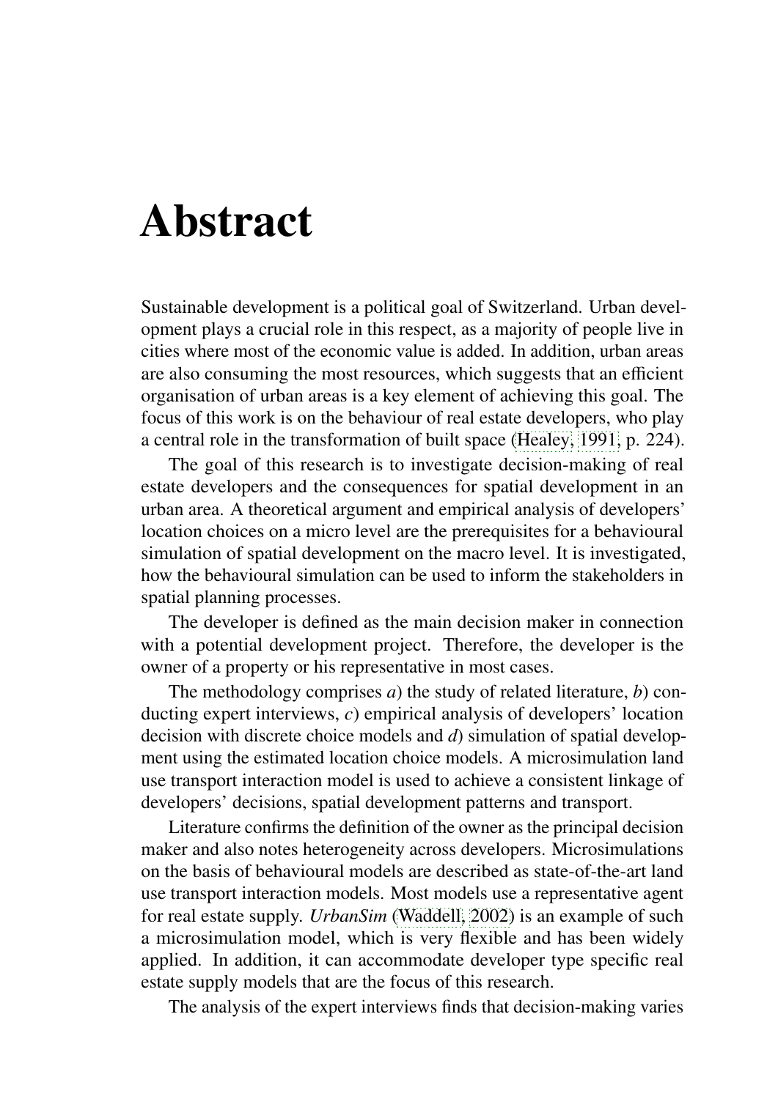### Abstract

Sustainable development is a political goal of Switzerland. Urban development plays a crucial role in this respect, as a majority of people live in cities where most of the economic value is added. In addition, urban areas are also consuming the most resources, which suggests that an efficient organisation of urban areas is a key element of achieving this goal. The focus of this work is on the behaviour of real estate developers, who play a central role in the transformation of built space [\(Healey, 1991,](#page--1-0) p. 224).

The goal of this research is to investigate decision-making of real estate developers and the consequences for spatial development in an urban area. A theoretical argument and empirical analysis of developers' location choices on a micro level are the prerequisites for a behavioural simulation of spatial development on the macro level. It is investigated, how the behavioural simulation can be used to inform the stakeholders in spatial planning processes.

The developer is defined as the main decision maker in connection with a potential development project. Therefore, the developer is the owner of a property or his representative in most cases.

The methodology comprises *a*) the study of related literature, *b*) conducting expert interviews, *c*) empirical analysis of developers' location decision with discrete choice models and *d*) simulation of spatial development using the estimated location choice models. A microsimulation land use transport interaction model is used to achieve a consistent linkage of developers' decisions, spatial development patterns and transport.

Literature confirms the definition of the owner as the principal decision maker and also notes heterogeneity across developers. Microsimulations on the basis of behavioural models are described as state-of-the-art land use transport interaction models. Most models use a representative agent for real estate supply. *UrbanSim* [\(Waddell, 2002\)](#page--1-1) is an example of such a microsimulation model, which is very flexible and has been widely applied. In addition, it can accommodate developer type specific real estate supply models that are the focus of this research.

The analysis of the expert interviews finds that decision-making varies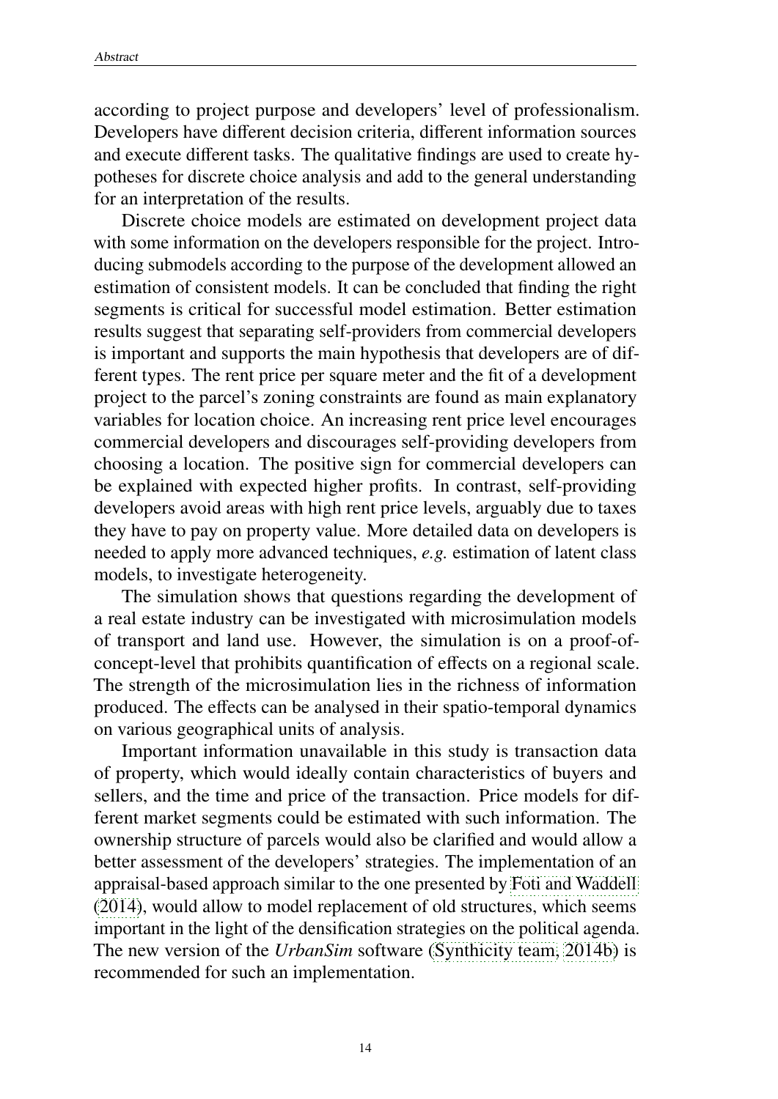according to project purpose and developers' level of professionalism. Developers have different decision criteria, different information sources and execute different tasks. The qualitative findings are used to create hypotheses for discrete choice analysis and add to the general understanding for an interpretation of the results.

Discrete choice models are estimated on development project data with some information on the developers responsible for the project. Introducing submodels according to the purpose of the development allowed an estimation of consistent models. It can be concluded that finding the right segments is critical for successful model estimation. Better estimation results suggest that separating self-providers from commercial developers is important and supports the main hypothesis that developers are of different types. The rent price per square meter and the fit of a development project to the parcel's zoning constraints are found as main explanatory variables for location choice. An increasing rent price level encourages commercial developers and discourages self-providing developers from choosing a location. The positive sign for commercial developers can be explained with expected higher profits. In contrast, self-providing developers avoid areas with high rent price levels, arguably due to taxes they have to pay on property value. More detailed data on developers is needed to apply more advanced techniques, *e.g.* estimation of latent class models, to investigate heterogeneity.

The simulation shows that questions regarding the development of a real estate industry can be investigated with microsimulation models of transport and land use. However, the simulation is on a proof-ofconcept-level that prohibits quantification of effects on a regional scale. The strength of the microsimulation lies in the richness of information produced. The effects can be analysed in their spatio-temporal dynamics on various geographical units of analysis.

Important information unavailable in this study is transaction data of property, which would ideally contain characteristics of buyers and sellers, and the time and price of the transaction. Price models for different market segments could be estimated with such information. The ownership structure of parcels would also be clarified and would allow a better assessment of the developers' strategies. The implementation of an appraisal-based approach similar to the one presented by [Foti and Waddell](#page--1-2) [\(2014\)](#page--1-2), would allow to model replacement of old structures, which seems important in the light of the densification strategies on the political agenda. The new version of the *UrbanSim* software [\(Synthicity team, 2014b\)](#page--1-3) is recommended for such an implementation.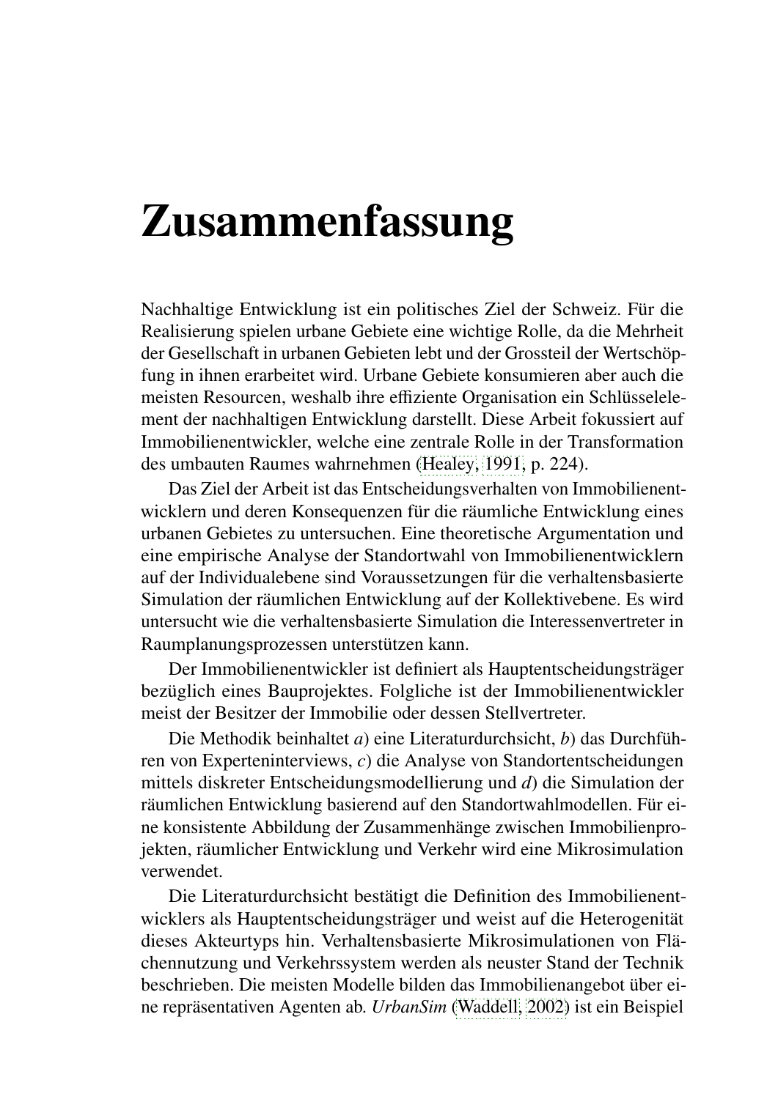## Zusammenfassung

Nachhaltige Entwicklung ist ein politisches Ziel der Schweiz. Für die Realisierung spielen urbane Gebiete eine wichtige Rolle, da die Mehrheit der Gesellschaft in urbanen Gebieten lebt und der Grossteil der Wertschöpfung in ihnen erarbeitet wird. Urbane Gebiete konsumieren aber auch die meisten Resourcen, weshalb ihre effiziente Organisation ein Schlüsselelement der nachhaltigen Entwicklung darstellt. Diese Arbeit fokussiert auf Immobilienentwickler, welche eine zentrale Rolle in der Transformation des umbauten Raumes wahrnehmen [\(Healey, 1991,](#page--1-0) p. 224).

Das Ziel der Arbeit ist das Entscheidungsverhalten von Immobilienentwicklern und deren Konsequenzen für die räumliche Entwicklung eines urbanen Gebietes zu untersuchen. Eine theoretische Argumentation und eine empirische Analyse der Standortwahl von Immobilienentwicklern auf der Individualebene sind Voraussetzungen für die verhaltensbasierte Simulation der räumlichen Entwicklung auf der Kollektivebene. Es wird untersucht wie die verhaltensbasierte Simulation die Interessenvertreter in Raumplanungsprozessen unterstützen kann.

Der Immobilienentwickler ist definiert als Hauptentscheidungsträger bezüglich eines Bauprojektes. Folgliche ist der Immobilienentwickler meist der Besitzer der Immobilie oder dessen Stellvertreter.

Die Methodik beinhaltet *a*) eine Literaturdurchsicht, *b*) das Durchführen von Experteninterviews, *c*) die Analyse von Standortentscheidungen mittels diskreter Entscheidungsmodellierung und *d*) die Simulation der räumlichen Entwicklung basierend auf den Standortwahlmodellen. Für eine konsistente Abbildung der Zusammenhänge zwischen Immobilienprojekten, räumlicher Entwicklung und Verkehr wird eine Mikrosimulation verwendet.

Die Literaturdurchsicht bestätigt die Definition des Immobilienentwicklers als Hauptentscheidungsträger und weist auf die Heterogenität dieses Akteurtyps hin. Verhaltensbasierte Mikrosimulationen von Flächennutzung und Verkehrssystem werden als neuster Stand der Technik beschrieben. Die meisten Modelle bilden das Immobilienangebot über eine repräsentativen Agenten ab. *UrbanSim* [\(Waddell, 2002\)](#page--1-1) ist ein Beispiel